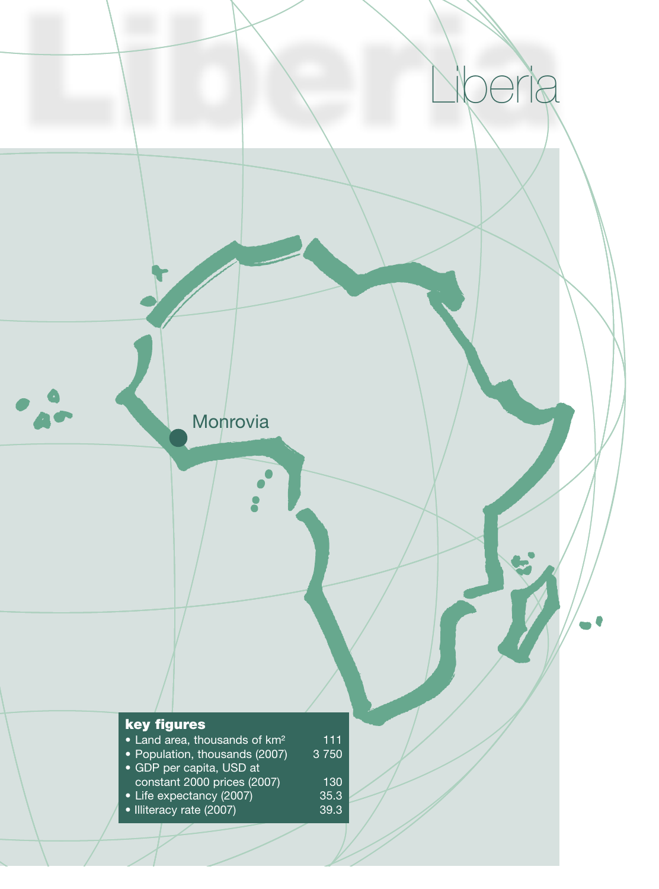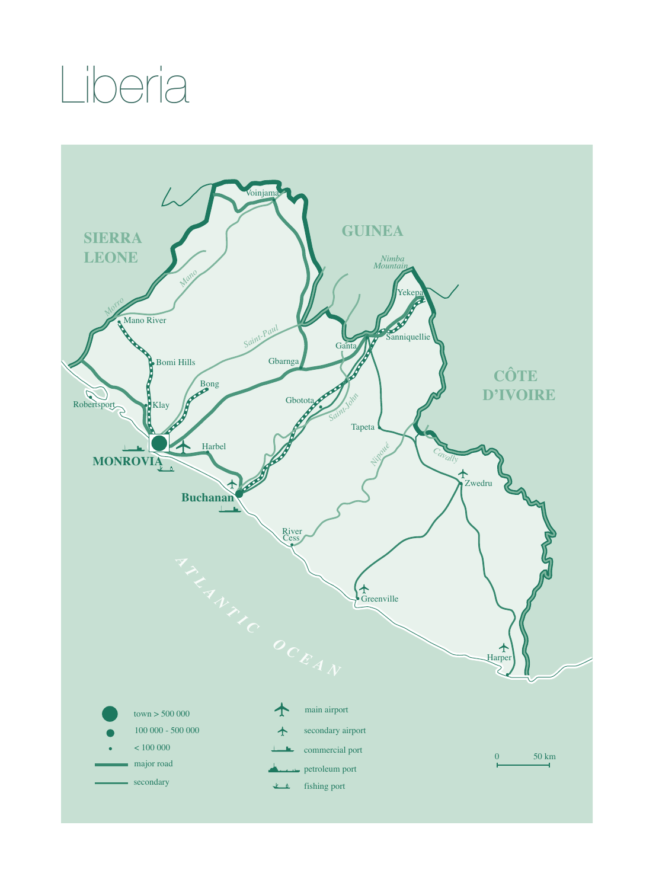# Liberia

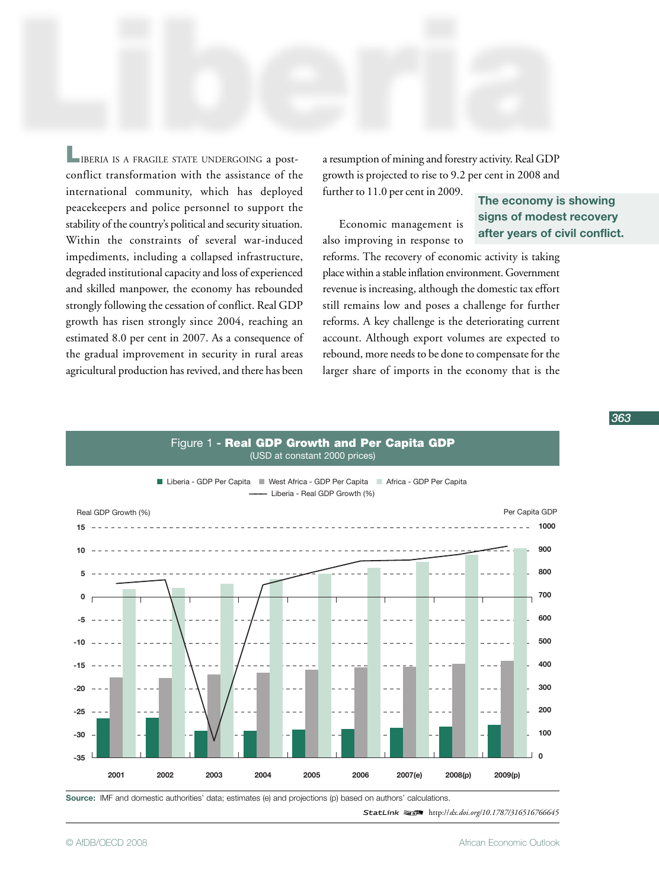**L**IBERIA IS <sup>A</sup> FRAGILE STATE UNDERGOING <sup>a</sup> postconflict transformation with the assistance of the international community, which has deployed peacekeepers and police personnel to support the stability of the country's political and security situation. Within the constraints of several war-induced impediments, including a collapsed infrastructure, degraded institutional capacity and loss of experienced and skilled manpower, the economy has rebounded strongly following the cessation of conflict. Real GDP growth has risen strongly since 2004, reaching an estimated 8.0 per cent in 2007. As a consequence of the gradual improvement in security in rural areas agricultural production has revived, and there has been

a resumption of mining and forestry activity. Real GDP growth is projected to rise to 9.2 per cent in 2008 and further to 11.0 per cent in 2009.

Economic management is also improving in response to

**The economy is showing signs of modest recovery after years of civil conflict.**

reforms. The recovery of economic activity is taking place within a stable inflation environment. Government revenue is increasing, although the domestic tax effort still remains low and poses a challenge for further reforms. A key challenge is the deteriorating current account. Although export volumes are expected to rebound, more needs to be done to compensate for the larger share of imports in the economy that is the





Source: IMF and domestic authorities' data; estimates (e) and projections (p) based on authors' calculations.

on authors' calculations.<br>StatLink ‱rg http://*dx.doi.org*/10.1787/316516766645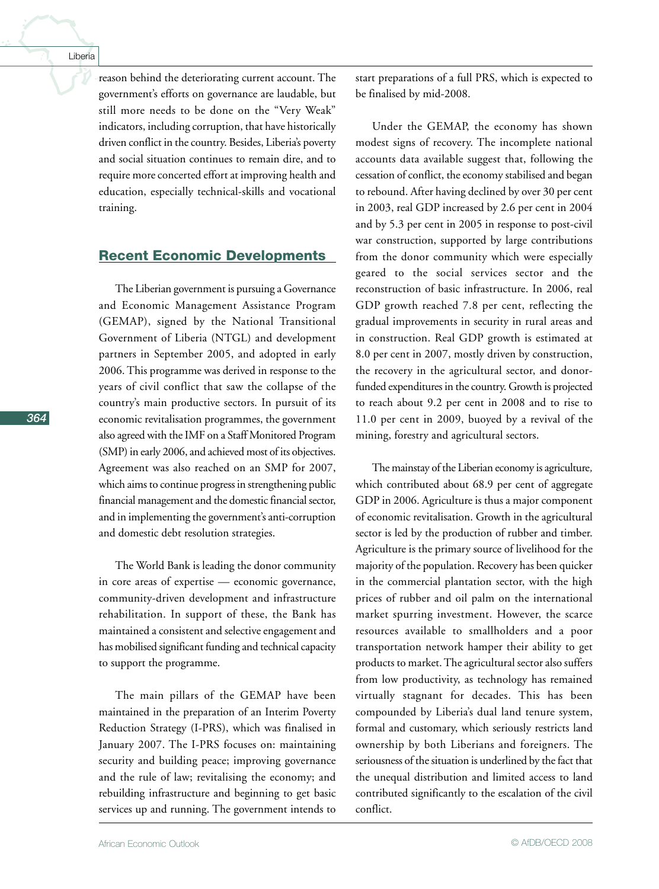reason behind the deteriorating current account. The government's efforts on governance are laudable, but still more needs to be done on the "Very Weak" indicators, including corruption, that have historically driven conflict in the country. Besides, Liberia's poverty and social situation continues to remain dire, and to require more concerted effort at improving health and education, especially technical-skills and vocational training.

## **Recent Economic Developments**

The Liberian government is pursuing a Governance and Economic Management Assistance Program (GEMAP), signed by the National Transitional Government of Liberia (NTGL) and development partners in September 2005, and adopted in early 2006. This programme was derived in response to the years of civil conflict that saw the collapse of the country's main productive sectors. In pursuit of its economic revitalisation programmes, the government also agreed with the IMF on a Staff Monitored Program (SMP) in early 2006, and achieved most of its objectives. Agreement was also reached on an SMP for 2007, which aims to continue progress in strengthening public financial management and the domestic financial sector, and in implementing the government's anti-corruption and domestic debt resolution strategies.

The World Bank is leading the donor community in core areas of expertise — economic governance, community-driven development and infrastructure rehabilitation. In support of these, the Bank has maintained a consistent and selective engagement and has mobilised significant funding and technical capacity to support the programme.

The main pillars of the GEMAP have been maintained in the preparation of an Interim Poverty Reduction Strategy (I-PRS), which was finalised in January 2007. The I-PRS focuses on: maintaining security and building peace; improving governance and the rule of law; revitalising the economy; and rebuilding infrastructure and beginning to get basic services up and running. The government intends to

start preparations of a full PRS, which is expected to be finalised by mid-2008.

Under the GEMAP, the economy has shown modest signs of recovery. The incomplete national accounts data available suggest that, following the cessation of conflict, theeconomy stabilised and began to rebound. After having declined by over 30 per cent in 2003, real GDP increased by 2.6 per cent in 2004 and by 5.3 per cent in 2005 in response to post-civil war construction, supported by large contributions from the donor community which were especially geared to the social services sector and the reconstruction of basic infrastructure. In 2006, real GDP growth reached 7.8 per cent, reflecting the gradual improvements in security in rural areas and in construction. Real GDP growth is estimated at 8.0 per cent in 2007, mostly driven by construction, the recovery in the agricultural sector, and donorfunded expenditures in the country. Growth is projected to reach about 9.2 per cent in 2008 and to rise to 11.0 per cent in 2009, buoyed by a revival of the mining, forestry and agricultural sectors.

The mainstay of the Liberian economy is agriculture*,* which contributed about 68.9 per cent of aggregate GDP in 2006. Agriculture is thus a major component of economic revitalisation. Growth in the agricultural sector is led by the production of rubber and timber. Agriculture is the primary source of livelihood for the majority of the population. Recovery has been quicker in the commercial plantation sector, with the high prices of rubber and oil palm on the international market spurring investment. However, the scarce resources available to smallholders and a poor transportation network hamper their ability to get products to market.The agricultural sector also suffers from low productivity, as technology has remained virtually stagnant for decades. This has been compounded by Liberia's dual land tenure system, formal and customary, which seriously restricts land ownership by both Liberians and foreigners. The seriousness of the situation is underlined by the fact that the unequal distribution and limited access to land contributed significantly to the escalation of the civil conflict.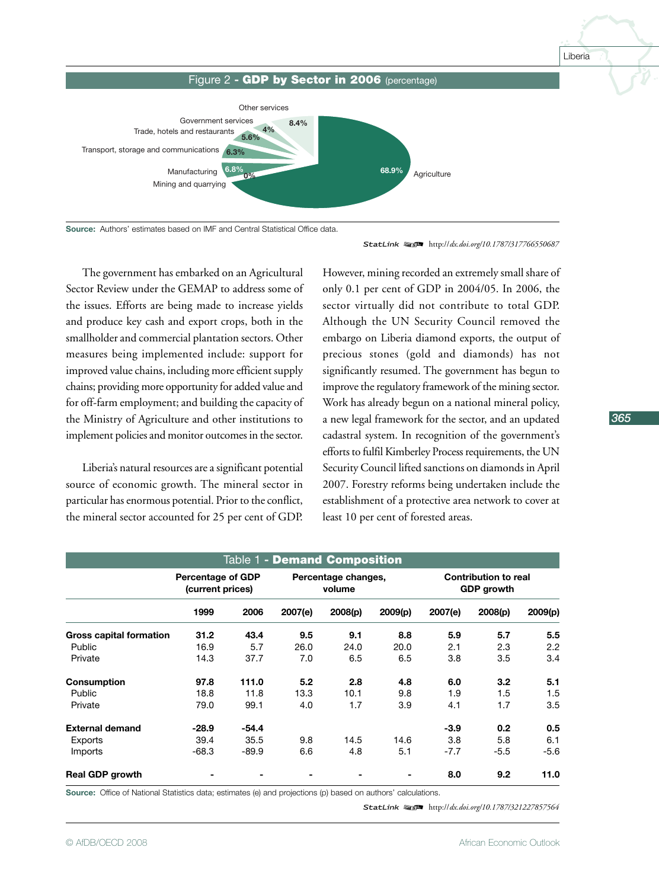

**Source:** Authors' estimates based on IMF and Central Statistical Office data.

12 http://*[dx.doi.org/10.1787/317766550687](http://dx.doi.org/10.1787/317766550687)*

The government has embarked on an Agricultural Sector Review under the GEMAP to address some of the issues. Efforts are being made to increase yields and produce key cash and export crops, both in the smallholder and commercial plantation sectors. Other measures being implemented include: support for improved value chains, including more efficient supply chains; providing more opportunity for added value and for off-farm employment; and building the capacity of the Ministry of Agriculture and other institutions to implement policies and monitor outcomes in the sector.

Liberia's natural resources are a significant potential source of economic growth. The mineral sector in particular has enormous potential. Prior to the conflict, the mineral sector accounted for 25 per cent of GDP. However, mining recorded an extremely small share of only 0.1 per cent of GDP in 2004/05. In 2006, the sector virtually did not contribute to total GDP. Although the UN Security Council removed the embargo on Liberia diamond exports, the output of precious stones (gold and diamonds) has not significantly resumed. The government has begun to improve the regulatory framework of the mining sector. Work has already begun on a national mineral policy, a new legal framework for the sector, and an updated cadastral system. In recognition of the government's efforts to fulfil Kimberley Process requirements, the UN Security Council lifted sanctions on diamonds in April 2007. Forestry reforms being undertaken include the establishment of a protective area network to cover at least 10 per cent of forested areas.

| <b>Table 1 - Demand Composition</b> |                                              |         |                               |         |         |                                                  |         |               |  |
|-------------------------------------|----------------------------------------------|---------|-------------------------------|---------|---------|--------------------------------------------------|---------|---------------|--|
|                                     | <b>Percentage of GDP</b><br>(current prices) |         | Percentage changes,<br>volume |         |         | <b>Contribution to real</b><br><b>GDP</b> growth |         |               |  |
|                                     | 1999                                         | 2006    | 2007(e)                       | 2008(p) | 2009(p) | 2007(e)                                          | 2008(p) | 2009(p)       |  |
| <b>Gross capital formation</b>      | 31.2                                         | 43.4    | 9.5                           | 9.1     | 8.8     | 5.9                                              | 5.7     | $5.5^{\circ}$ |  |
| Public                              | 16.9                                         | 5.7     | 26.0                          | 24.0    | 20.0    | 2.1                                              | 2.3     | 2.2           |  |
| Private                             | 14.3                                         | 37.7    | 7.0                           | 6.5     | 6.5     | 3.8                                              | 3.5     | 3.4           |  |
| <b>Consumption</b>                  | 97.8                                         | 111.0   | 5.2                           | 2.8     | 4.8     | 6.0                                              | 3.2     | 5.1           |  |
| Public                              | 18.8                                         | 11.8    | 13.3                          | 10.1    | 9.8     | 1.9                                              | 1.5     | 1.5           |  |
| Private                             | 79.0                                         | 99.1    | 4.0                           | 1.7     | 3.9     | 4.1                                              | 1.7     | 3.5           |  |
| <b>External demand</b>              | $-28.9$                                      | $-54.4$ |                               |         |         | $-3.9$                                           | 0.2     | 0.5           |  |
| Exports                             | 39.4                                         | 35.5    | 9.8                           | 14.5    | 14.6    | 3.8                                              | 5.8     | 6.1           |  |
| Imports                             | $-68.3$                                      | $-89.9$ | 6.6                           | 4.8     | 5.1     | $-7.7$                                           | $-5.5$  | $-5.6$        |  |
| <b>Real GDP growth</b>              |                                              |         |                               |         |         | 8.0                                              | 9.2     | 11.0          |  |

**Source:** Office of National Statistics data; estimates (e) and projections (p) based on authors' calculations.

12 http://*[dx.doi.org/10.1787/321227857564](http://dx.doi.org/10.1787/321227857564)*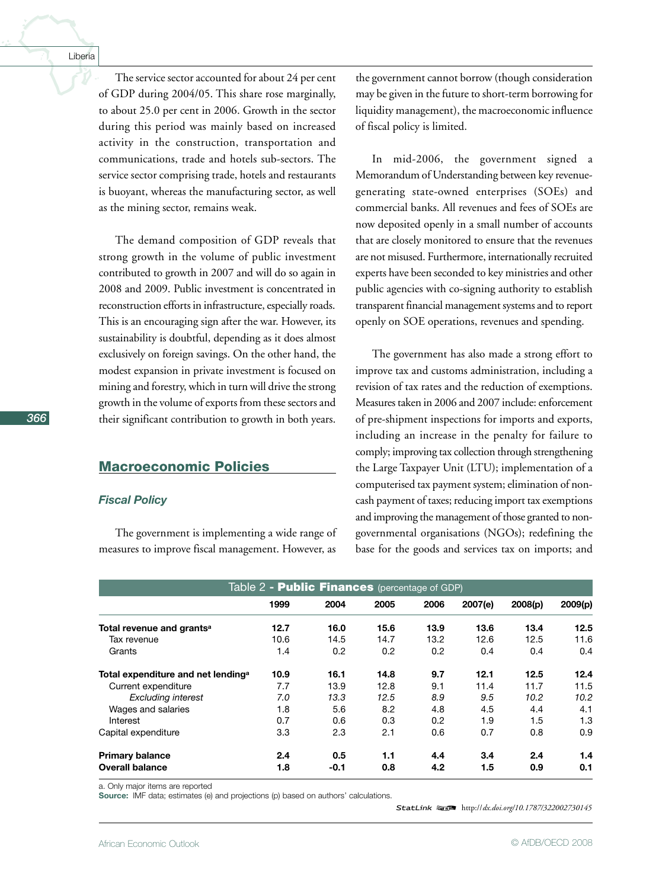Liberia

The service sector accounted for about 24 per cent of GDP during 2004/05. This share rose marginally, to about 25.0 per cent in 2006. Growth in the sector during this period was mainly based on increased activity in the construction, transportation and communications, trade and hotels sub-sectors. The service sector comprising trade, hotels and restaurants is buoyant, whereas the manufacturing sector, as well as the mining sector, remains weak.

The demand composition of GDP reveals that strong growth in the volume of public investment contributed to growth in 2007 and will do so again in 2008 and 2009. Public investment is concentrated in reconstruction efforts in infrastructure, especially roads. This is an encouraging sign after the war. However, its sustainability is doubtful, depending as it does almost exclusively on foreign savings. On the other hand, the modest expansion in private investment is focused on mining and forestry, which in turn will drive the strong growth in the volume of exports from these sectors and their significant contribution to growth in both years.

## **Macroeconomic Policies**

#### *Fiscal Policy*

The government is implementing a wide range of measures to improve fiscal management. However, as

the government cannot borrow (though consideration may be given in the future to short-term borrowing for liquidity management), the macroeconomic influence of fiscal policy is limited.

In mid-2006, the government signed a Memorandum of Understanding between key revenuegenerating state-owned enterprises (SOEs) and commercial banks. All revenues and fees of SOEs are now deposited openly in a small number of accounts that are closely monitored to ensure that the revenues are not misused. Furthermore, internationally recruited experts have been seconded to key ministries and other public agencies with co-signing authority to establish transparent financial management systems and to report openly on SOE operations, revenues and spending.

The government has also made a strong effort to improve tax and customs administration, including a revision of tax rates and the reduction of exemptions. Measures taken in 2006 and 2007 include: enforcement of pre-shipment inspections for imports and exports, including an increase in the penalty for failure to comply; improving tax collection through strengthening the Large Taxpayer Unit (LTU); implementation of a computerised tax payment system; elimination of noncash payment of taxes; reducing import tax exemptions and improving the management of those granted to nongovernmental organisations (NGOs); redefining the base for the goods and services tax on imports; and

| Table 2 - <b>Public Finances</b> (percentage of GDP) |      |        |      |      |         |         |         |  |  |
|------------------------------------------------------|------|--------|------|------|---------|---------|---------|--|--|
|                                                      | 1999 | 2004   | 2005 | 2006 | 2007(e) | 2008(p) | 2009(p) |  |  |
| Total revenue and grants <sup>a</sup>                | 12.7 | 16.0   | 15.6 | 13.9 | 13.6    | 13.4    | 12.5    |  |  |
| Tax revenue                                          | 10.6 | 14.5   | 14.7 | 13.2 | 12.6    | 12.5    | 11.6    |  |  |
| Grants                                               | 1.4  | 0.2    | 0.2  | 0.2  | 0.4     | 0.4     | 0.4     |  |  |
| Total expenditure and net lending <sup>a</sup>       | 10.9 | 16.1   | 14.8 | 9.7  | 12.1    | 12.5    | 12.4    |  |  |
| Current expenditure                                  | 7.7  | 13.9   | 12.8 | 9.1  | 11.4    | 11.7    | 11.5    |  |  |
| <b>Excluding interest</b>                            | 7.0  | 13.3   | 12.5 | 8.9  | 9.5     | 10.2    | 10.2    |  |  |
| Wages and salaries                                   | 1.8  | 5.6    | 8.2  | 4.8  | 4.5     | 4.4     | 4.1     |  |  |
| Interest                                             | 0.7  | 0.6    | 0.3  | 0.2  | 1.9     | 1.5     | 1.3     |  |  |
| Capital expenditure                                  | 3.3  | 2.3    | 2.1  | 0.6  | 0.7     | 0.8     | 0.9     |  |  |
| <b>Primary balance</b>                               | 2.4  | 0.5    | 1.1  | 4.4  | 3.4     | 2.4     | 1.4     |  |  |
| <b>Overall balance</b>                               | 1.8  | $-0.1$ | 0.8  | 4.2  | 1.5     | 0.9     | 0.1     |  |  |

a. Only major items are reported

**Source:** IMF data; estimates (e) and projections (p) based on authors' calculations.

12 http://*[dx.doi.org/10.1787/322002730145](http://dx.doi.org/10.1787/322002730145)*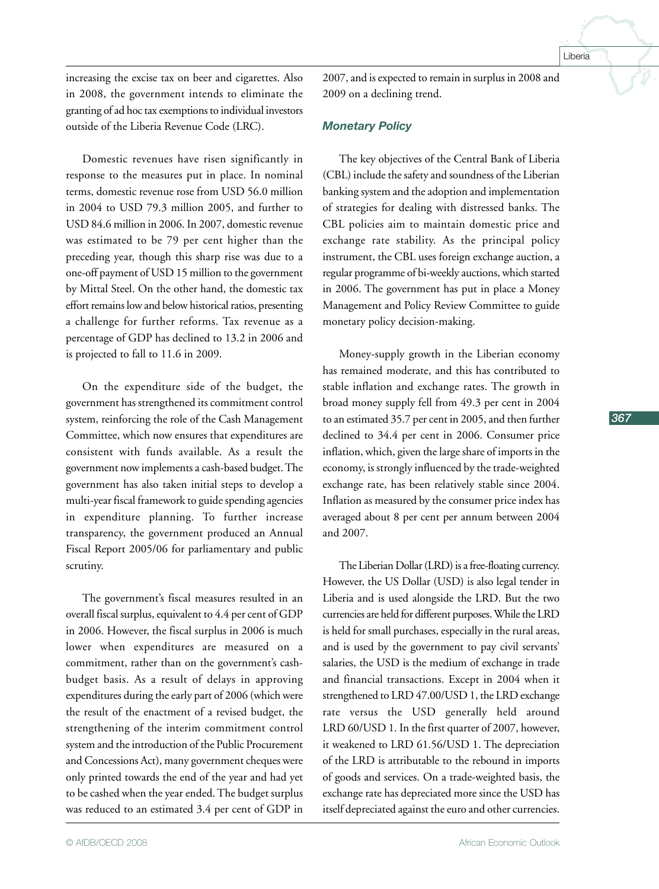increasing the excise tax on beer and cigarettes. Also in 2008, the government intends to eliminate the granting of ad hoc tax exemptions to individual investors outside of the Liberia Revenue Code (LRC).

Domestic revenues have risen significantly in response to the measures put in place. In nominal terms, domestic revenue rose from USD 56.0 million in 2004 to USD 79.3 million 2005, and further to USD 84.6 million in 2006. In 2007, domestic revenue was estimated to be 79 per cent higher than the preceding year, though this sharp rise was due to a one-off payment of USD 15 million to the government by Mittal Steel. On the other hand, the domestic tax effort remains low and below historical ratios, presenting a challenge for further reforms. Tax revenue as a percentage of GDP has declined to 13.2 in 2006 and is projected to fall to 11.6 in 2009.

On the expenditure side of the budget, the government has strengthened its commitment control system, reinforcing the role of the Cash Management Committee, which now ensures that expenditures are consistent with funds available. As a result the government now implements a cash-based budget.The government has also taken initial steps to develop a multi-year fiscal framework to guide spending agencies in expenditure planning. To further increase transparency, the government produced an Annual Fiscal Report 2005/06 for parliamentary and public scrutiny.

The government's fiscal measures resulted in an overall fiscal surplus, equivalent to 4.4 per cent of GDP in 2006. However, the fiscal surplus in 2006 is much lower when expenditures are measured on a commitment, rather than on the government's cashbudget basis. As a result of delays in approving expenditures during the early part of 2006 (which were the result of the enactment of a revised budget, the strengthening of the interim commitment control system and the introduction of the Public Procurement and Concessions Act), many government cheques were only printed towards the end of the year and had yet to be cashed when the year ended.The budget surplus was reduced to an estimated 3.4 per cent of GDP in

2007, and is expected to remain in surplus in 2008 and 2009 on a declining trend.

#### *Monetary Policy*

The key objectives of the Central Bank of Liberia (CBL) include the safety and soundness of the Liberian banking system and the adoption and implementation of strategies for dealing with distressed banks. The CBL policies aim to maintain domestic price and exchange rate stability. As the principal policy instrument, the CBL uses foreign exchange auction, a regular programme of bi-weekly auctions, which started in 2006. The government has put in place a Money Management and Policy Review Committee to guide monetary policy decision-making.

Money-supply growth in the Liberian economy has remained moderate, and this has contributed to stable inflation and exchange rates. The growth in broad money supply fell from 49.3 per cent in 2004 to an estimated 35.7 per cent in 2005, and then further declined to 34.4 per cent in 2006. Consumer price inflation, which, given the large share of imports in the economy, is strongly influenced by the trade-weighted exchange rate, has been relatively stable since 2004. Inflation as measured by the consumer price index has averaged about 8 per cent per annum between 2004 and 2007.

The Liberian Dollar (LRD) is a free-floating currency. However, the US Dollar (USD) is also legal tender in Liberia and is used alongside the LRD. But the two currencies are held for different purposes. While the LRD is held for small purchases, especially in the rural areas, and is used by the government to pay civil servants' salaries, the USD is the medium of exchange in trade and financial transactions. Except in 2004 when it strengthened to LRD 47.00/USD 1, the LRD exchange rate versus the USD generally held around LRD 60/USD 1. In the first quarter of 2007, however, it weakened to LRD 61.56/USD 1. The depreciation of the LRD is attributable to the rebound in imports of goods and services. On a trade-weighted basis, the exchange rate has depreciated more since the USD has itself depreciated against the euro and other currencies.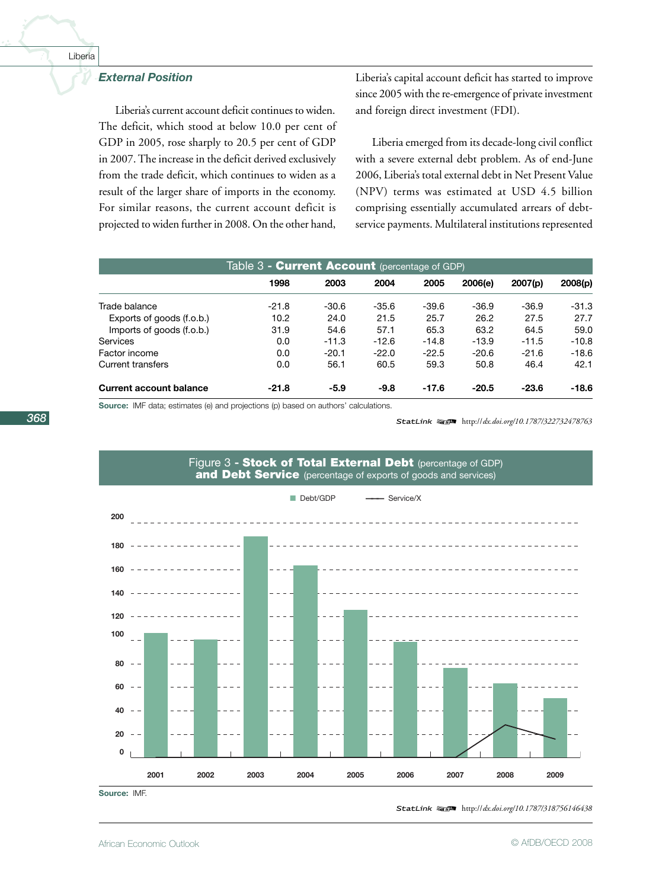## *External Position*

Liberia

Liberia's current account deficit continues to widen. The deficit, which stood at below 10.0 per cent of GDP in 2005, rose sharply to 20.5 per cent of GDP in 2007. The increase in the deficit derived exclusively from the trade deficit, which continues to widen as a result of the larger share of imports in the economy. For similar reasons, the current account deficit is projected to widen further in 2008. On the other hand,

Liberia's capital account deficit has started to improve since 2005 with the re-emergence of private investment and foreign direct investment (FDI).

Liberia emerged from its decade-long civil conflict with a severe external debt problem. As of end-June 2006, Liberia's total external debt in Net Present Value (NPV) terms was estimated at USD 4.5 billion comprising essentially accumulated arrears of debtservice payments. Multilateral institutions represented

| Table 3 - Current Account (percentage of GDP) |         |         |         |         |         |         |         |  |
|-----------------------------------------------|---------|---------|---------|---------|---------|---------|---------|--|
|                                               | 1998    | 2003    | 2004    | 2005    | 2006(e) | 2007(p) | 2008(p) |  |
| Trade balance                                 | $-21.8$ | $-30.6$ | $-35.6$ | -39.6   | $-36.9$ | $-36.9$ | $-31.3$ |  |
| Exports of goods (f.o.b.)                     | 10.2    | 24.0    | 21.5    | 25.7    | 26.2    | 27.5    | 27.7    |  |
| Imports of goods (f.o.b.)                     | 31.9    | 54.6    | 57.1    | 65.3    | 63.2    | 64.5    | 59.0    |  |
| Services                                      | 0.0     | $-11.3$ | $-12.6$ | $-14.8$ | $-13.9$ | $-11.5$ | $-10.8$ |  |
| Factor income                                 | 0.0     | $-20.1$ | $-22.0$ | $-22.5$ | $-20.6$ | $-21.6$ | $-18.6$ |  |
| Current transfers                             | 0.0     | 56.1    | 60.5    | 59.3    | 50.8    | 46.4    | 42.1    |  |
| <b>Current account balance</b>                | $-21.8$ | $-5.9$  | $-9.8$  | -17.6   | $-20.5$ | $-23.6$ | $-18.6$ |  |

Figure 3 **- Stock of Total External Debt** (percentage of GDP)

**Source:** IMF data; estimates (e) and projections (p) based on authors' calculations.

12 http://*[dx.doi.org/10.1787/322732478763](http://dx.doi.org/10.1787/322732478763)*



**Source:** IMF.

<sup>12</sup> http://*[dx.doi.org/10.1787/318756146438](http://dx.doi.org/10.1787/318756146438)*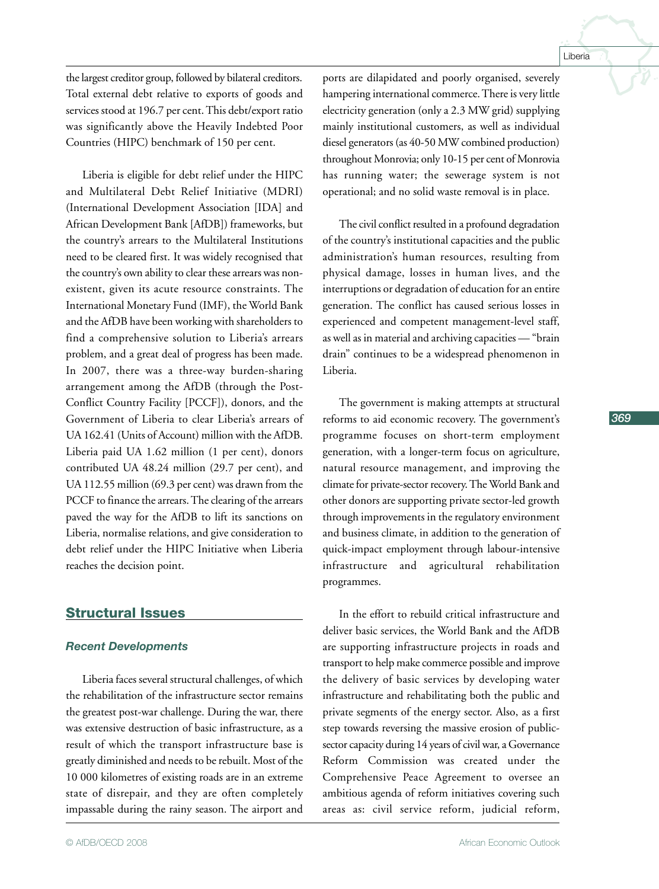the largest creditor group, followed by bilateral creditors. Total external debt relative to exports of goods and services stood at 196.7 per cent.This debt/export ratio was significantly above the Heavily Indebted Poor Countries (HIPC) benchmark of 150 per cent.

Liberia is eligible for debt relief under the HIPC and Multilateral Debt Relief Initiative (MDRI) (International Development Association [IDA] and African Development Bank [AfDB]) frameworks, but the country's arrears to the Multilateral Institutions need to be cleared first. It was widely recognised that the country's own ability to clear these arrears was nonexistent, given its acute resource constraints. The International Monetary Fund (IMF), the World Bank and the AfDB have been working with shareholders to find a comprehensive solution to Liberia's arrears problem, and a great deal of progress has been made. In 2007, there was a three-way burden-sharing arrangement among the AfDB (through the Post-Conflict Country Facility [PCCF]), donors, and the Government of Liberia to clear Liberia's arrears of UA 162.41 (Units of Account) million with the AfDB. Liberia paid UA 1.62 million (1 per cent), donors contributed UA 48.24 million (29.7 per cent), and UA 112.55 million (69.3 per cent) was drawn from the PCCF to finance the arrears. The clearing of the arrears paved the way for the AfDB to lift its sanctions on Liberia, normalise relations, and give consideration to debt relief under the HIPC Initiative when Liberia reaches the decision point.

## **Structural Issues**

## *Recent Developments*

Liberia faces several structural challenges, of which the rehabilitation of the infrastructure sector remains the greatest post-war challenge. During the war, there was extensive destruction of basic infrastructure, as a result of which the transport infrastructure base is greatly diminished and needs to be rebuilt. Most of the 10 000 kilometres of existing roads are in an extreme state of disrepair, and they are often completely impassable during the rainy season. The airport and ports are dilapidated and poorly organised, severely hampering international commerce. There is very little electricity generation (only a 2.3 MW grid) supplying mainly institutional customers, as well as individual diesel generators (as 40-50 MW combined production) throughout Monrovia; only 10-15 per cent of Monrovia has running water; the sewerage system is not operational; and no solid waste removal is in place.

The civil conflict resulted in a profound degradation of the country's institutional capacities and the public administration's human resources, resulting from physical damage, losses in human lives, and the interruptions or degradation of education for an entire generation. The conflict has caused serious losses in experienced and competent management-level staff, as well as in material and archiving capacities — "brain drain" continues to be a widespread phenomenon in Liberia.

The government is making attempts at structural reforms to aid economic recovery. The government's programme focuses on short-term employment generation, with a longer-term focus on agriculture, natural resource management, and improving the climate for private-sector recovery. The World Bank and other donors are supporting private sector-led growth through improvements in the regulatory environment and business climate, in addition to the generation of quick-impact employment through labour-intensive infrastructure and agricultural rehabilitation programmes.

In the effort to rebuild critical infrastructure and deliver basic services, the World Bank and the AfDB are supporting infrastructure projects in roads and transport to help make commerce possible and improve the delivery of basic services by developing water infrastructure and rehabilitating both the public and private segments of the energy sector. Also, as a first step towards reversing the massive erosion of publicsector capacity during 14 years of civil war, a Governance Reform Commission was created under the Comprehensive Peace Agreement to oversee an ambitious agenda of reform initiatives covering such areas as: civil service reform, judicial reform,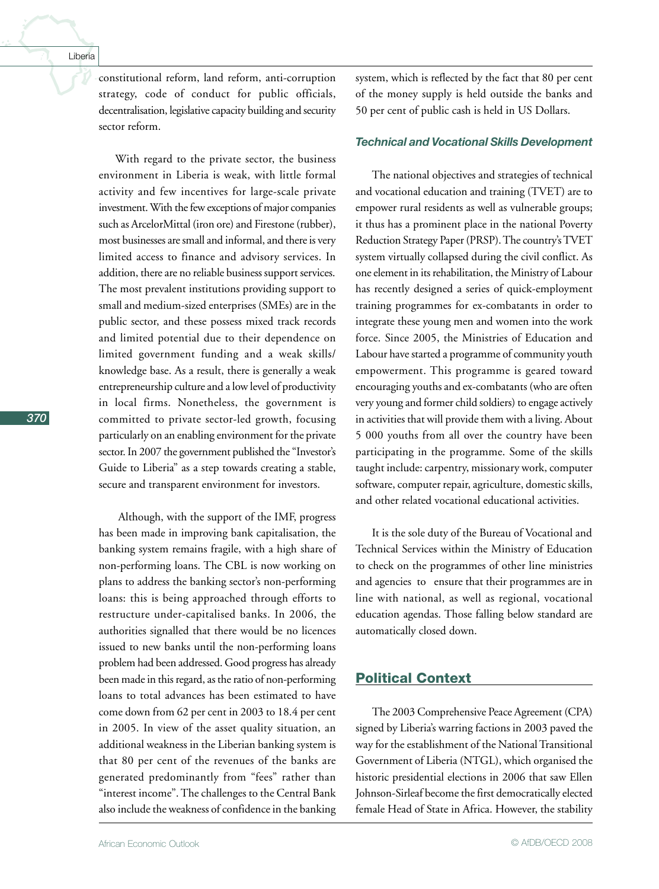constitutional reform, land reform, anti-corruption strategy, code of conduct for public officials, decentralisation, legislative capacity building and security sector reform.

With regard to the private sector, the business environment in Liberia is weak, with little formal activity and few incentives for large-scale private investment. With the few exceptions of major companies such as ArcelorMittal (iron ore) and Firestone (rubber), most businesses are small and informal, and there is very limited access to finance and advisory services. In addition, there are no reliable business support services. The most prevalent institutions providing support to small and medium-sized enterprises (SMEs) are in the public sector, and these possess mixed track records and limited potential due to their dependence on limited government funding and a weak skills/ knowledge base. As a result, there is generally a weak entrepreneurship culture and a low level of productivity in local firms. Nonetheless, the government is committed to private sector-led growth, focusing particularly on an enabling environment for the private sector. In 2007 the government published the "Investor's Guide to Liberia" as a step towards creating a stable, secure and transparent environment for investors.

Although, with the support of the IMF, progress has been made in improving bank capitalisation, the banking system remains fragile, with a high share of non-performing loans. The CBL is now working on plans to address the banking sector's non-performing loans: this is being approached through efforts to restructure under-capitalised banks. In 2006, the authorities signalled that there would be no licences issued to new banks until the non-performing loans problem had been addressed. Good progress has already been made in this regard, as the ratio of non-performing loans to total advances has been estimated to have come down from 62 per cent in 2003 to 18.4 per cent in 2005. In view of the asset quality situation, an additional weakness in the Liberian banking system is that 80 per cent of the revenues of the banks are generated predominantly from "fees" rather than "interest income".The challenges to the Central Bank also include the weakness of confidence in the banking

system, which is reflected by the fact that 80 per cent of the money supply is held outside the banks and 50 per cent of public cash is held in US Dollars.

#### *Technical and Vocational Skills Development*

The national objectives and strategies of technical and vocational education and training (TVET) are to empower rural residents as well as vulnerable groups; it thus has a prominent place in the national Poverty Reduction Strategy Paper (PRSP). The country's TVET system virtually collapsed during the civil conflict. As one element in its rehabilitation, the Ministry of Labour has recently designed a series of quick-employment training programmes for ex-combatants in order to integrate these young men and women into the work force. Since 2005, the Ministries of Education and Labour have started a programme of community youth empowerment. This programme is geared toward encouraging youths and ex-combatants (who are often very young and former child soldiers) to engage actively in activities that will provide them with a living. About 5 000 youths from all over the country have been participating in the programme. Some of the skills taught include: carpentry, missionary work, computer software, computer repair, agriculture, domestic skills, and other related vocational educational activities.

It is the sole duty of the Bureau of Vocational and Technical Services within the Ministry of Education to check on the programmes of other line ministries and agencies to ensure that their programmes are in line with national, as well as regional, vocational education agendas. Those falling below standard are automatically closed down.

#### **Political Context**

The 2003 Comprehensive Peace Agreement (CPA) signed by Liberia's warring factions in 2003 paved the way for the establishment of the National Transitional Government of Liberia (NTGL), which organised the historic presidential elections in 2006 that saw Ellen Johnson-Sirleaf become the first democratically elected female Head of State in Africa. However, the stability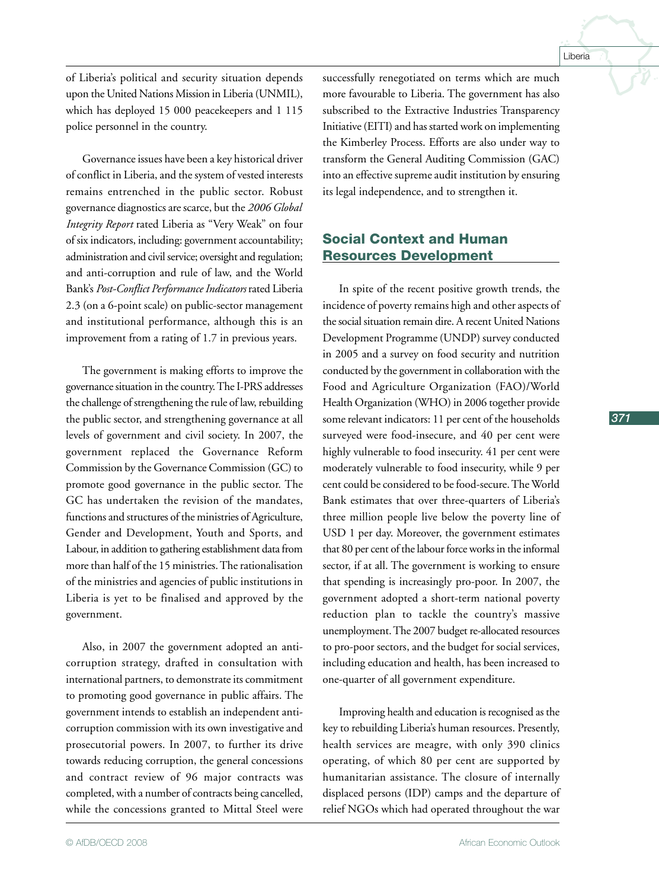of Liberia's political and security situation depends upon the United Nations Mission in Liberia (UNMIL), which has deployed 15 000 peacekeepers and 1 115 police personnel in the country.

Governance issues have been a key historical driver of conflict in Liberia, and the system of vested interests remains entrenched in the public sector. Robust governance diagnostics arescarce, but the *2006 Global Integrity Report* rated Liberia as "Very Weak" on four of six indicators, including: government accountability; administration and civil service; oversight and regulation; and anti-corruption and rule of law, and the World Bank's *Post-Conflict Performance Indicators* rated Liberia 2.3 (on a 6-point scale) on public-sector management and institutional performance, although this is an improvement from a rating of 1.7 in previous years.

The government is making efforts to improve the governance situation in the country. The I-PRS addresses the challenge of strengthening the rule of law, rebuilding the public sector, and strengthening governance at all levels of government and civil society. In 2007, the government replaced the Governance Reform Commission by the Governance Commission (GC) to promote good governance in the public sector. The GC has undertaken the revision of the mandates, functions and structures of the ministries of Agriculture, Gender and Development, Youth and Sports, and Labour, in addition to gathering establishment data from more than half of the 15 ministries. The rationalisation of the ministries and agencies of public institutions in Liberia is yet to be finalised and approved by the government.

Also, in 2007 the government adopted an anticorruption strategy, drafted in consultation with international partners, to demonstrate its commitment to promoting good governance in public affairs. The government intends to establish an independent anticorruption commission with its own investigative and prosecutorial powers. In 2007, to further its drive towards reducing corruption, the general concessions and contract review of 96 major contracts was completed, with a number of contracts being cancelled, while the concessions granted to Mittal Steel were

successfully renegotiated on terms which are much more favourable to Liberia. The government has also subscribed to the Extractive Industries Transparency Initiative(EITI) and has started work on implementing the Kimberley Process. Efforts are also under way to transform the General Auditing Commission (GAC) into an effective supreme audit institution by ensuring its legal independence, and to strengthen it.

## **Social Context and Human Resources Development**

In spite of the recent positive growth trends, the incidence of poverty remains high and other aspects of the social situation remain dire. A recent United Nations Development Programme(UNDP) survey conducted in 2005 and a survey on food security and nutrition conducted by the government in collaboration with the Food and Agriculture Organization (FAO)/World Health Organization (WHO) in 2006 together provide some relevant indicators: 11 per cent of the households surveyed were food-insecure, and 40 per cent were highly vulnerable to food insecurity. 41 per cent were moderately vulnerable to food insecurity, while 9 per cent could be considered to be food-secure. The World Bank estimates that over three-quarters of Liberia's three million people live below the poverty line of USD 1 per day. Moreover, the government estimates that 80 per cent of the labour force works in the informal sector, if at all. The government is working to ensure that spending is increasingly pro-poor. In 2007, the government adopted a short-term national poverty reduction plan to tackle the country's massive unemployment.The 2007 budget re-allocated resources to pro-poor sectors, and the budget for social services, including education and health, has been increased to one-quarter of all government expenditure.

Improving health and education is recognised as the key to rebuilding Liberia's human resources. Presently, health services are meagre, with only 390 clinics operating, of which 80 per cent are supported by humanitarian assistance. The closure of internally displaced persons (IDP) camps and the departure of relief NGOs which had operated throughout the war